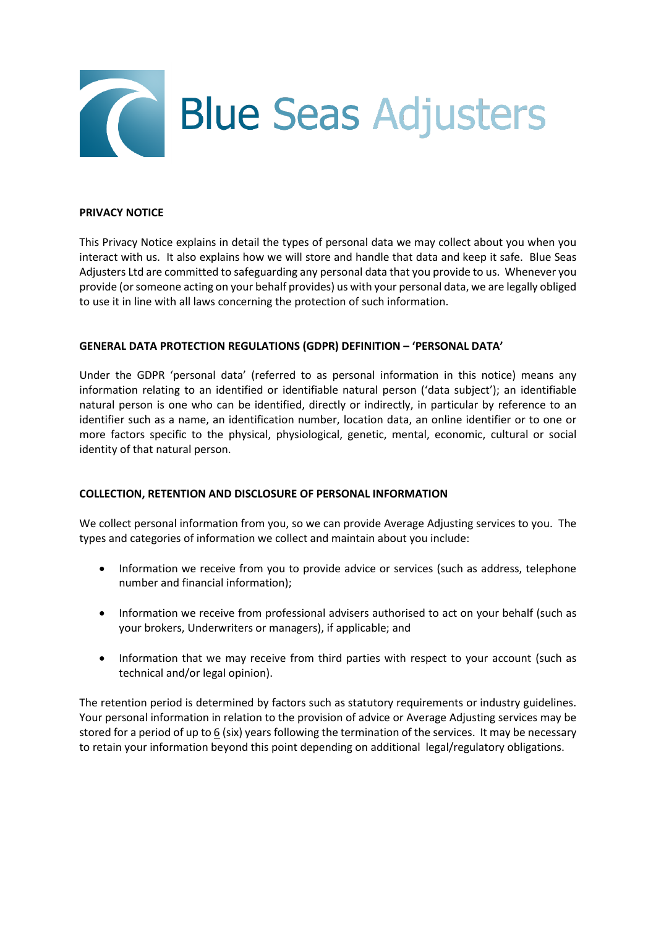

#### **PRIVACY NOTICE**

This Privacy Notice explains in detail the types of personal data we may collect about you when you interact with us. It also explains how we will store and handle that data and keep it safe. Blue Seas Adjusters Ltd are committed to safeguarding any personal data that you provide to us. Whenever you provide (or someone acting on your behalf provides) us with your personal data, we are legally obliged to use it in line with all laws concerning the protection of such information.

#### **GENERAL DATA PROTECTION REGULATIONS (GDPR) DEFINITION – 'PERSONAL DATA'**

Under the GDPR 'personal data' (referred to as personal information in this notice) means any information relating to an identified or identifiable natural person ('data subject'); an identifiable natural person is one who can be identified, directly or indirectly, in particular by reference to an identifier such as a name, an identification number, location data, an online identifier or to one or more factors specific to the physical, physiological, genetic, mental, economic, cultural or social identity of that natural person.

### **COLLECTION, RETENTION AND DISCLOSURE OF PERSONAL INFORMATION**

We collect personal information from you, so we can provide Average Adjusting services to you. The types and categories of information we collect and maintain about you include:

- Information we receive from you to provide advice or services (such as address, telephone number and financial information);
- Information we receive from professional advisers authorised to act on your behalf (such as your brokers, Underwriters or managers), if applicable; and
- Information that we may receive from third parties with respect to your account (such as technical and/or legal opinion).

The retention period is determined by factors such as statutory requirements or industry guidelines. Your personal information in relation to the provision of advice or Average Adjusting services may be stored for a period of up to 6 (six) years following the termination of the services. It may be necessary to retain your information beyond this point depending on additional legal/regulatory obligations.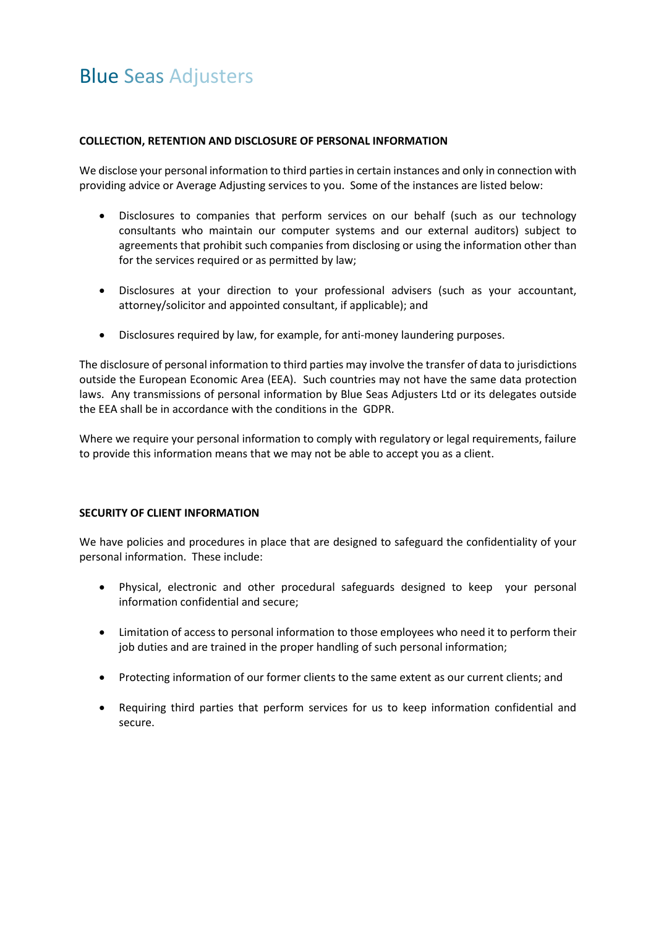# Blue Seas Adjusters

### **COLLECTION, RETENTION AND DISCLOSURE OF PERSONAL INFORMATION**

We disclose your personal information to third parties in certain instances and only in connection with providing advice or Average Adjusting services to you. Some of the instances are listed below:

- Disclosures to companies that perform services on our behalf (such as our technology consultants who maintain our computer systems and our external auditors) subject to agreements that prohibit such companies from disclosing or using the information other than for the services required or as permitted by law;
- Disclosures at your direction to your professional advisers (such as your accountant, attorney/solicitor and appointed consultant, if applicable); and
- Disclosures required by law, for example, for anti-money laundering purposes.

The disclosure of personal information to third parties may involve the transfer of data to jurisdictions outside the European Economic Area (EEA). Such countries may not have the same data protection laws. Any transmissions of personal information by Blue Seas Adjusters Ltd or its delegates outside the EEA shall be in accordance with the conditions in the GDPR.

Where we require your personal information to comply with regulatory or legal requirements, failure to provide this information means that we may not be able to accept you as a client.

### **SECURITY OF CLIENT INFORMATION**

We have policies and procedures in place that are designed to safeguard the confidentiality of your personal information. These include:

- Physical, electronic and other procedural safeguards designed to keep your personal information confidential and secure;
- Limitation of access to personal information to those employees who need it to perform their job duties and are trained in the proper handling of such personal information;
- Protecting information of our former clients to the same extent as our current clients; and
- Requiring third parties that perform services for us to keep information confidential and secure.